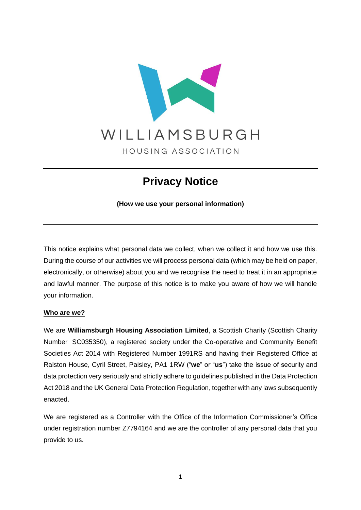

# **Privacy Notice**

**(How we use your personal information)**

This notice explains what personal data we collect, when we collect it and how we use this. During the course of our activities we will process personal data (which may be held on paper, electronically, or otherwise) about you and we recognise the need to treat it in an appropriate and lawful manner. The purpose of this notice is to make you aware of how we will handle your information.

### **Who are we?**

We are **Williamsburgh Housing Association Limited**, a Scottish Charity (Scottish Charity Number SC035350), a registered society under the Co-operative and Community Benefit Societies Act 2014 with Registered Number 1991RS and having their Registered Office at Ralston House, Cyril Street, Paisley, PA1 1RW ("**we**" or "**us**") take the issue of security and data protection very seriously and strictly adhere to guidelines published in the Data Protection Act 2018 and the UK General Data Protection Regulation, together with any laws subsequently enacted.

We are registered as a Controller with the Office of the Information Commissioner's Office under registration number Z7794164 and we are the controller of any personal data that you provide to us.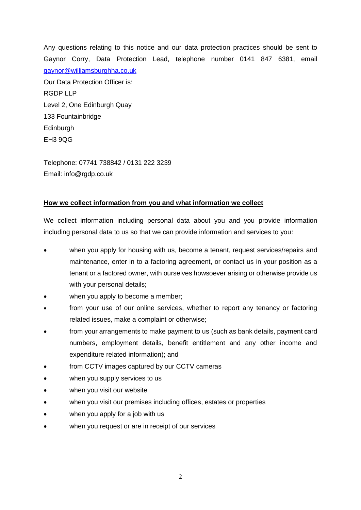Any questions relating to this notice and our data protection practices should be sent to Gaynor Corry, Data Protection Lead, telephone number 0141 847 6381, email [gaynor@williamsburghha.co.uk](mailto:gaynor@williamsburghha.co.uk) Our Data Protection Officer is: RGDP LLP Level 2, One Edinburgh Quay 133 Fountainbridge Edinburgh EH3 9QG

Telephone: 07741 738842 / 0131 222 3239 Email: info@rgdp.co.uk

### **How we collect information from you and what information we collect**

We collect information including personal data about you and you provide information including personal data to us so that we can provide information and services to you:

- when you apply for housing with us, become a tenant, request services/repairs and maintenance, enter in to a factoring agreement, or contact us in your position as a tenant or a factored owner, with ourselves howsoever arising or otherwise provide us with your personal details;
- when you apply to become a member;
- from your use of our online services, whether to report any tenancy or factoring related issues, make a complaint or otherwise;
- from your arrangements to make payment to us (such as bank details, payment card numbers, employment details, benefit entitlement and any other income and expenditure related information); and
- from CCTV images captured by our CCTV cameras
- when you supply services to us
- when you visit our website
- when you visit our premises including offices, estates or properties
- when you apply for a job with us
- when you request or are in receipt of our services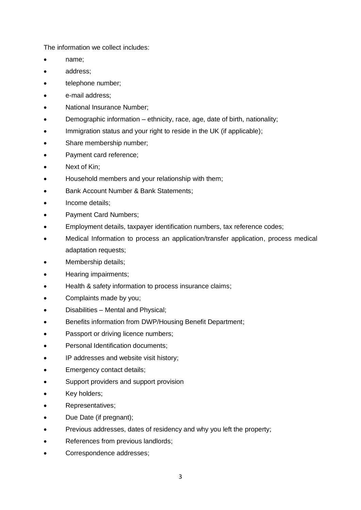The information we collect includes:

- name;
- address;
- telephone number;
- e-mail address;
- National Insurance Number;
- Demographic information ethnicity, race, age, date of birth, nationality;
- Immigration status and your right to reside in the UK (if applicable);
- Share membership number;
- Payment card reference;
- Next of Kin;
- Household members and your relationship with them;
- Bank Account Number & Bank Statements;
- Income details:
- Payment Card Numbers;
- Employment details, taxpayer identification numbers, tax reference codes;
- Medical Information to process an application/transfer application, process medical adaptation requests;
- Membership details;
- Hearing impairments;
- Health & safety information to process insurance claims;
- Complaints made by you;
- Disabilities Mental and Physical;
- Benefits information from DWP/Housing Benefit Department;
- Passport or driving licence numbers;
- Personal Identification documents;
- IP addresses and website visit history;
- Emergency contact details;
- Support providers and support provision
- Key holders;
- Representatives;
- Due Date (if pregnant);
- Previous addresses, dates of residency and why you left the property;
- References from previous landlords;
- Correspondence addresses;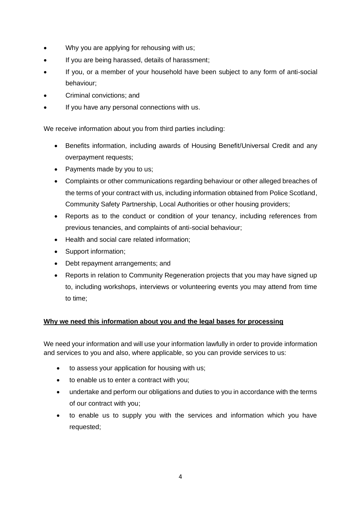- Why you are applying for rehousing with us;
- If you are being harassed, details of harassment;
- If you, or a member of your household have been subject to any form of anti-social behaviour;
- Criminal convictions; and
- If you have any personal connections with us.

We receive information about you from third parties including:

- Benefits information, including awards of Housing Benefit/Universal Credit and any overpayment requests;
- Payments made by you to us;
- Complaints or other communications regarding behaviour or other alleged breaches of the terms of your contract with us, including information obtained from Police Scotland, Community Safety Partnership, Local Authorities or other housing providers;
- Reports as to the conduct or condition of your tenancy, including references from previous tenancies, and complaints of anti-social behaviour;
- Health and social care related information;
- Support information;
- Debt repayment arrangements; and
- Reports in relation to Community Regeneration projects that you may have signed up to, including workshops, interviews or volunteering events you may attend from time to time;

## **Why we need this information about you and the legal bases for processing**

We need your information and will use your information lawfully in order to provide information and services to you and also, where applicable, so you can provide services to us:

- to assess your application for housing with us;
- to enable us to enter a contract with you;
- undertake and perform our obligations and duties to you in accordance with the terms of our contract with you;
- to enable us to supply you with the services and information which you have requested;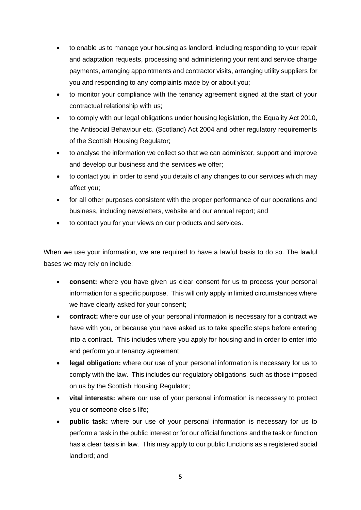- to enable us to manage your housing as landlord, including responding to your repair and adaptation requests, processing and administering your rent and service charge payments, arranging appointments and contractor visits, arranging utility suppliers for you and responding to any complaints made by or about you;
- to monitor your compliance with the tenancy agreement signed at the start of your contractual relationship with us;
- to comply with our legal obligations under housing legislation, the Equality Act 2010, the Antisocial Behaviour etc. (Scotland) Act 2004 and other regulatory requirements of the Scottish Housing Regulator;
- to analyse the information we collect so that we can administer, support and improve and develop our business and the services we offer;
- to contact you in order to send you details of any changes to our services which may affect you;
- for all other purposes consistent with the proper performance of our operations and business, including newsletters, website and our annual report; and
- to contact you for your views on our products and services.

When we use your information, we are required to have a lawful basis to do so. The lawful bases we may rely on include:

- **consent:** where you have given us clear consent for us to process your personal information for a specific purpose. This will only apply in limited circumstances where we have clearly asked for your consent;
- **contract:** where our use of your personal information is necessary for a contract we have with you, or because you have asked us to take specific steps before entering into a contract. This includes where you apply for housing and in order to enter into and perform your tenancy agreement;
- **legal obligation:** where our use of your personal information is necessary for us to comply with the law. This includes our regulatory obligations, such as those imposed on us by the Scottish Housing Regulator;
- vital interests: where our use of your personal information is necessary to protect you or someone else's life;
- **public task:** where our use of your personal information is necessary for us to perform a task in the public interest or for our official functions and the task or function has a clear basis in law. This may apply to our public functions as a registered social landlord; and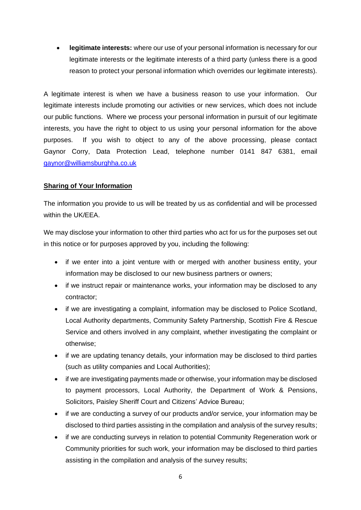• **legitimate interests:** where our use of your personal information is necessary for our legitimate interests or the legitimate interests of a third party (unless there is a good reason to protect your personal information which overrides our legitimate interests).

A legitimate interest is when we have a business reason to use your information. Our legitimate interests include promoting our activities or new services, which does not include our public functions. Where we process your personal information in pursuit of our legitimate interests, you have the right to object to us using your personal information for the above purposes. If you wish to object to any of the above processing, please contact Gaynor Corry, Data Protection Lead, telephone number 0141 847 6381, email [gaynor@williamsburghha.co.uk](mailto:gaynor@williamsburghha.co.uk)

## **Sharing of Your Information**

The information you provide to us will be treated by us as confidential and will be processed within the UK/EEA.

We may disclose your information to other third parties who act for us for the purposes set out in this notice or for purposes approved by you, including the following:

- if we enter into a joint venture with or merged with another business entity, your information may be disclosed to our new business partners or owners;
- if we instruct repair or maintenance works, your information may be disclosed to any contractor;
- if we are investigating a complaint, information may be disclosed to Police Scotland. Local Authority departments, Community Safety Partnership, Scottish Fire & Rescue Service and others involved in any complaint, whether investigating the complaint or otherwise;
- if we are updating tenancy details, your information may be disclosed to third parties (such as utility companies and Local Authorities);
- if we are investigating payments made or otherwise, your information may be disclosed to payment processors, Local Authority, the Department of Work & Pensions, Solicitors, Paisley Sheriff Court and Citizens' Advice Bureau;
- if we are conducting a survey of our products and/or service, your information may be disclosed to third parties assisting in the compilation and analysis of the survey results;
- if we are conducting surveys in relation to potential Community Regeneration work or Community priorities for such work, your information may be disclosed to third parties assisting in the compilation and analysis of the survey results;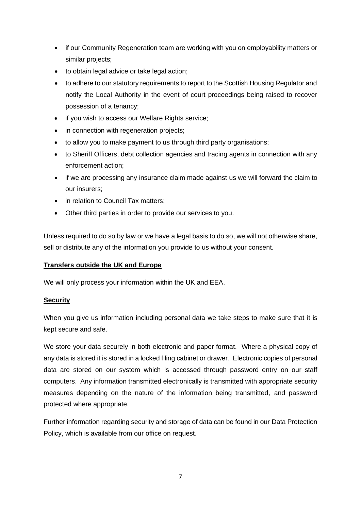- if our Community Regeneration team are working with you on employability matters or similar projects;
- to obtain legal advice or take legal action:
- to adhere to our statutory requirements to report to the Scottish Housing Regulator and notify the Local Authority in the event of court proceedings being raised to recover possession of a tenancy;
- if you wish to access our Welfare Rights service;
- in connection with regeneration projects;
- to allow you to make payment to us through third party organisations;
- to Sheriff Officers, debt collection agencies and tracing agents in connection with any enforcement action;
- if we are processing any insurance claim made against us we will forward the claim to our insurers;
- in relation to Council Tax matters;
- Other third parties in order to provide our services to you.

Unless required to do so by law or we have a legal basis to do so, we will not otherwise share, sell or distribute any of the information you provide to us without your consent.

## **Transfers outside the UK and Europe**

We will only process your information within the UK and EEA.

### **Security**

When you give us information including personal data we take steps to make sure that it is kept secure and safe.

We store your data securely in both electronic and paper format. Where a physical copy of any data is stored it is stored in a locked filing cabinet or drawer. Electronic copies of personal data are stored on our system which is accessed through password entry on our staff computers. Any information transmitted electronically is transmitted with appropriate security measures depending on the nature of the information being transmitted, and password protected where appropriate.

Further information regarding security and storage of data can be found in our Data Protection Policy, which is available from our office on request.